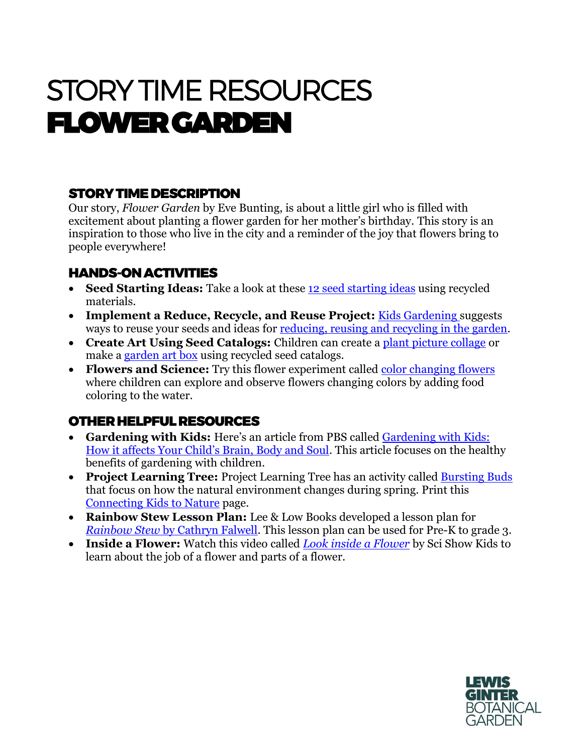# STORY TIME RESOURCES FLOWER GARDEN

## STORY TIME DESCRIPTION

Our story, *Flower Garden* by Eve Bunting, is about a little girl who is filled with excitement about planting a flower garden for her mother's birthday. This story is an inspiration to those who live in the city and a reminder of the joy that flowers bring to people everywhere!

#### HANDS-ON ACTIVITIES

- **Seed Starting Ideas:** Take a look at these [12 seed starting ideas](https://lovelygreens.com/seed-starting-with-recycled-materials/) using recycled materials.
- **Implement a Reduce, Recycle, and Reuse Project:** [Kids Gardening s](https://kidsgardening.org/garden-activities-save-your-seeds/)uggests ways to reuse your seeds and ideas for [reducing, reusing and recycling in the garden.](https://kidsgardening.org/garden-activities-reducing-re-using-and-recycling-in-the-garden/)
- **Create Art Using Seed Catalogs:** Children can create a [plant picture collage](https://kidsgardening.org/garden-activities-seed-catalog-fun/?mc_cid=8b3c8276f1&mc_eid=dc6014dea3) or make a [garden art box](https://kidsgardening.org/garden-activities-garden-art-box/?mc_cid=8b3c8276f1&mc_eid=dc6014dea3) using recycled seed catalogs.
- **Flowers and Science:** Try this flower experiment called [color changing flowers](https://funlearningforkids.com/color-changing-flowers-science-experiment/) where children can explore and observe flowers changing colors by adding food coloring to the water.

### OTHER HELPFUL RESOURCES

- **Gardening with Kids:** Here's an article from PBS called [Gardening with Kids:](https://www.pbs.org/parents/thrive/gardening-with-kids-how-it-affects-your-childs-brain-body-and-soul)  [How it affects Your Child's Brain, Body and Soul](https://www.pbs.org/parents/thrive/gardening-with-kids-how-it-affects-your-childs-brain-body-and-soul). This article focuses on the healthy benefits of gardening with children.
- Project Learning Tree: Project Learning Tree has an activity called **Bursting Buds** that focus on how the natural environment changes during spring. Print this [Connecting Kids to Nature](https://www.plt.org/wp-content/uploads/pdf/PLT_Act65_Bursting_Buds.pdf) page.
- **Rainbow Stew Lesson Plan:** Lee & Low Books developed a lesson plan for *Rainbow Stew* [by Cathryn Falwell.](https://www.leeandlow.com/uploads/loaded_document/362/Rainbow_Stew_Teacher_s_Guide_2016_PDF.pdf) This lesson plan can be used for Pre-K to grade 3.
- **Inside a Flower:** Watch this video called *[Look inside a Flower](https://www.youtube.com/watch?v=R9sn7HZM7uY)* by Sci Show Kids to learn about the job of a flower and parts of a flower.